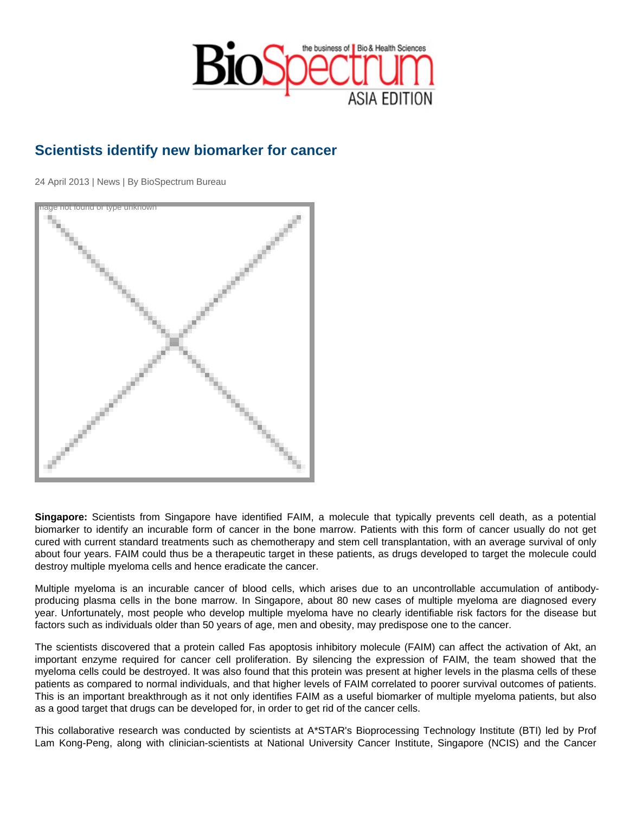## Scientists identify new biomarker for cancer

24 April 2013 | News | By BioSpectrum Bureau

Image not found or type unknown

Singapore: Scientists from Singapore have identified FAIM, a molecule that typically prevents cell death, as a potential biomarker to identify an incurable form of cancer in the bone marrow. Patients with this form of cancer usually do not get cured with current standard treatments such as chemotherapy and stem cell transplantation, with an average survival of only about four years. FAIM could thus be a therapeutic target in these patients, as drugs developed to target the molecule could destroy multiple myeloma cells and hence eradicate the cancer.

Multiple myeloma is an incurable cancer of blood cells, which arises due to an uncontrollable accumulation of antibodyproducing plasma cells in the bone marrow. In Singapore, about 80 new cases of multiple myeloma are diagnosed every year. Unfortunately, most people who develop multiple myeloma have no clearly identifiable risk factors for the disease but factors such as individuals older than 50 years of age, men and obesity, may predispose one to the cancer.

The scientists discovered that a protein called Fas apoptosis inhibitory molecule (FAIM) can affect the activation of Akt, an important enzyme required for cancer cell proliferation. By silencing the expression of FAIM, the team showed that the myeloma cells could be destroyed. It was also found that this protein was present at higher levels in the plasma cells of these patients as compared to normal individuals, and that higher levels of FAIM correlated to poorer survival outcomes of patients. This is an important breakthrough as it not only identifies FAIM as a useful biomarker of multiple myeloma patients, but also as a good target that drugs can be developed for, in order to get rid of the cancer cells.

This collaborative research was conducted by scientists at A\*STAR's Bioprocessing Technology Institute (BTI) led by Prof Lam Kong-Peng, along with clinician-scientists at National University Cancer Institute, Singapore (NCIS) and the Cancer